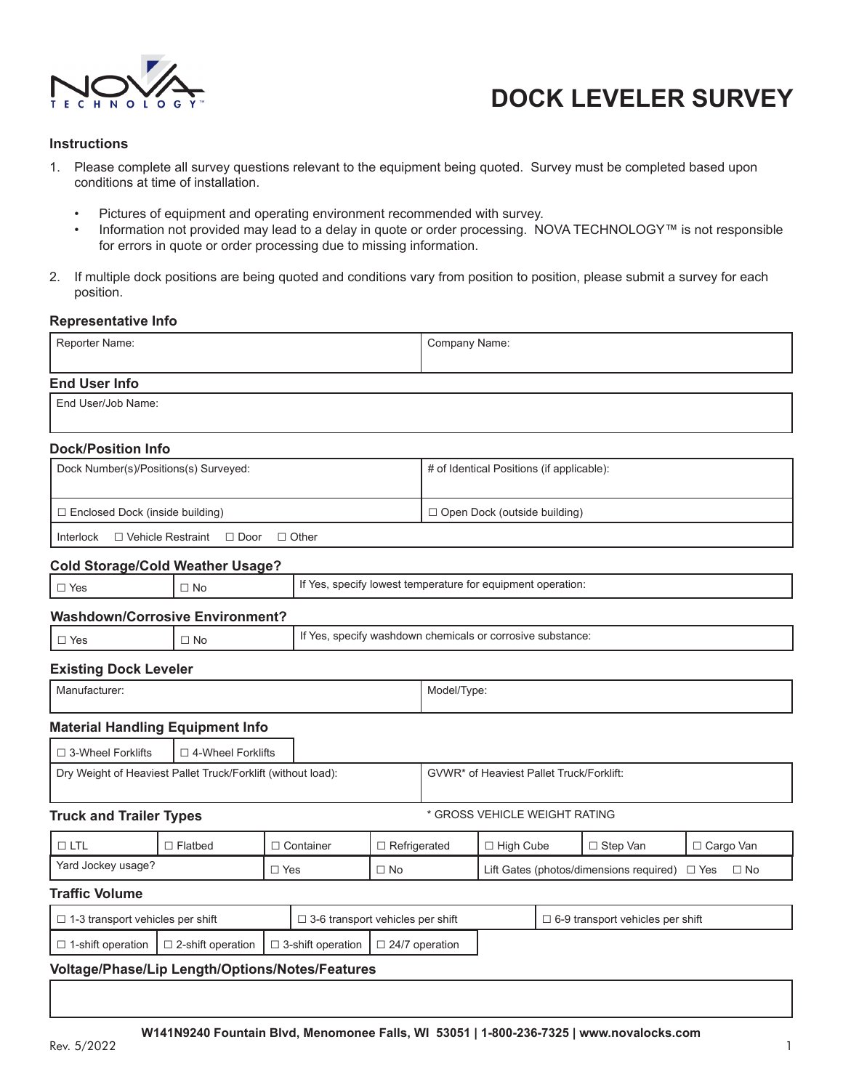

#### **Instructions**

- 1. Please complete all survey questions relevant to the equipment being quoted. Survey must be completed based upon conditions at time of installation.
	- Pictures of equipment and operating environment recommended with survey.
	- Information not provided may lead to a delay in quote or order processing. NOVA TECHNOLOGY™ is not responsible for errors in quote or order processing due to missing information.
- 2. If multiple dock positions are being quoted and conditions vary from position to position, please submit a survey for each position.

#### **Representative Info**

| Reporter Name:                                               |                                                            |                                         | Company Name:                            |                                                             |                                               |  |            |             |
|--------------------------------------------------------------|------------------------------------------------------------|-----------------------------------------|------------------------------------------|-------------------------------------------------------------|-----------------------------------------------|--|------------|-------------|
| <b>End User Info</b>                                         |                                                            |                                         |                                          |                                                             |                                               |  |            |             |
| End User/Job Name:                                           |                                                            |                                         |                                          |                                                             |                                               |  |            |             |
| <b>Dock/Position Info</b>                                    |                                                            |                                         |                                          |                                                             |                                               |  |            |             |
| Dock Number(s)/Positions(s) Surveyed:                        |                                                            |                                         |                                          | # of Identical Positions (if applicable):                   |                                               |  |            |             |
| □ Enclosed Dock (inside building)                            |                                                            |                                         |                                          | □ Open Dock (outside building)                              |                                               |  |            |             |
| □ Vehicle Restraint □ Door<br>Interlock                      |                                                            | $\Box$ Other                            |                                          |                                                             |                                               |  |            |             |
| <b>Cold Storage/Cold Weather Usage?</b>                      |                                                            |                                         |                                          |                                                             |                                               |  |            |             |
| $\Box$ No<br>$\Box$ Yes                                      |                                                            |                                         |                                          | If Yes, specify lowest temperature for equipment operation: |                                               |  |            |             |
| <b>Washdown/Corrosive Environment?</b>                       |                                                            |                                         |                                          |                                                             |                                               |  |            |             |
| $\Box$ Yes<br>$\Box$ No                                      | If Yes, specify washdown chemicals or corrosive substance: |                                         |                                          |                                                             |                                               |  |            |             |
| <b>Existing Dock Leveler</b>                                 |                                                            |                                         |                                          |                                                             |                                               |  |            |             |
| Manufacturer:                                                |                                                            |                                         | Model/Type:                              |                                                             |                                               |  |            |             |
| <b>Material Handling Equipment Info</b>                      |                                                            |                                         |                                          |                                                             |                                               |  |            |             |
| $\Box$ 3-Wheel Forklifts<br>$\Box$ 4-Wheel Forklifts         |                                                            |                                         |                                          |                                                             |                                               |  |            |             |
| Dry Weight of Heaviest Pallet Truck/Forklift (without load): |                                                            |                                         | GVWR* of Heaviest Pallet Truck/Forklift: |                                                             |                                               |  |            |             |
| <b>Truck and Trailer Types</b>                               |                                                            |                                         |                                          |                                                             | * GROSS VEHICLE WEIGHT RATING                 |  |            |             |
| $\Box$ LTL<br>$\Box$ Flatbed                                 |                                                            | □ Container                             | □ Refrigerated                           |                                                             | □ High Cube                                   |  | □ Step Van | □ Cargo Van |
| Yard Jockey usage?                                           |                                                            | $\Box$ Yes<br>$\Box$ No                 |                                          |                                                             | Lift Gates (photos/dimensions required) □ Yes |  |            | $\Box$ No   |
| <b>Traffic Volume</b>                                        |                                                            |                                         |                                          |                                                             |                                               |  |            |             |
| $\Box$ 1-3 transport vehicles per shift                      |                                                            | $\Box$ 3-6 transport vehicles per shift |                                          |                                                             | $\Box$ 6-9 transport vehicles per shift       |  |            |             |
| □ 1-shift operation<br>$\square$ 2-shift operation           |                                                            | $\square$ 3-shift operation             | $\Box$ 24/7 operation                    |                                                             |                                               |  |            |             |
| Voltage/Phase/Lip Length/Options/Notes/Features              |                                                            |                                         |                                          |                                                             |                                               |  |            |             |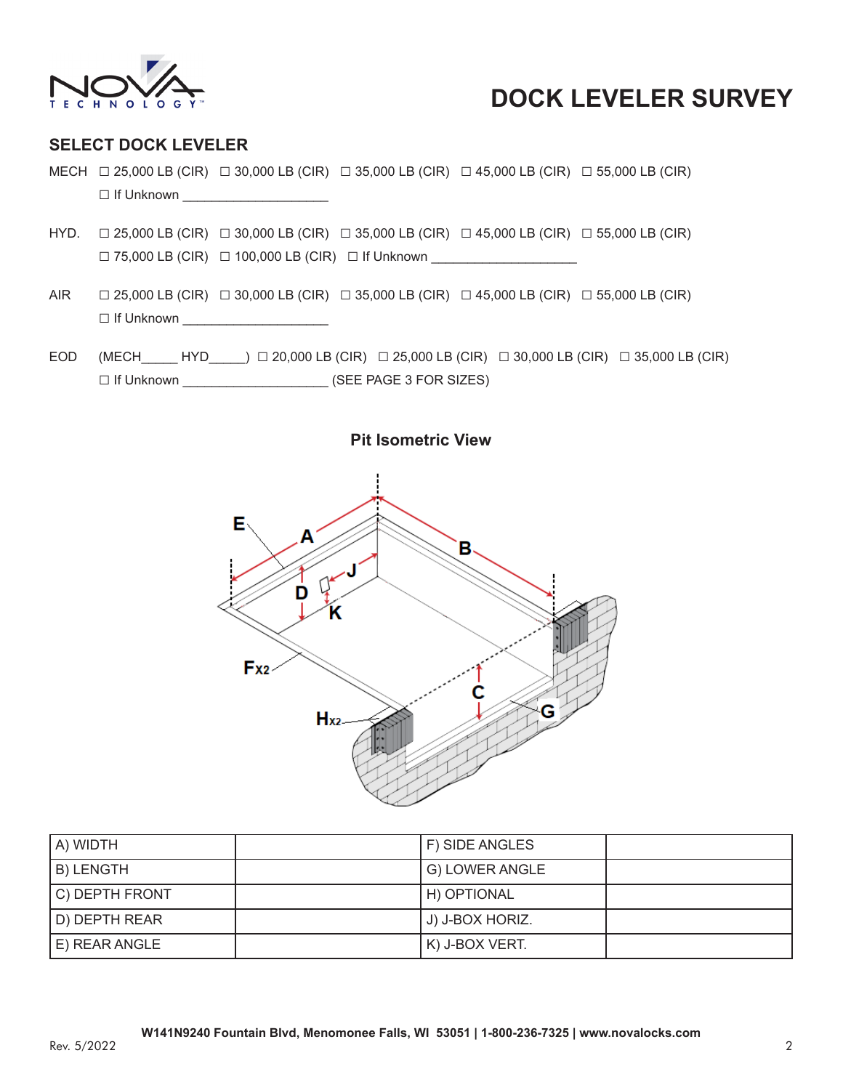

### **SELECT DOCK LEVELER**

- MECH □ 25,000 LB (CIR) □ 30,000 LB (CIR) □ 35,000 LB (CIR) □ 45,000 LB (CIR) □ 55,000 LB (CIR)  $\Box$  If Unknown
- HYD. □ 25,000 LB (CIR) □ 30,000 LB (CIR) □ 35,000 LB (CIR) □ 45,000 LB (CIR) □ 55,000 LB (CIR) □ 75,000 LB (CIR) □ 100,000 LB (CIR) □ If Unknown \_\_\_\_\_\_\_\_\_\_\_\_\_\_\_\_\_\_\_\_
- AIR □ 25,000 LB (CIR) □ 30,000 LB (CIR) □ 35,000 LB (CIR) □ 45,000 LB (CIR) □ 55,000 LB (CIR) □ If Unknown \_\_\_\_\_\_\_\_\_\_\_\_\_\_\_\_\_\_\_\_
- EOD (MECH HYD ) □ 20,000 LB (CIR) □ 25,000 LB (CIR) □ 30,000 LB (CIR) □ 35,000 LB (CIR) □ If Unknown \_\_\_\_\_\_\_\_\_\_\_\_\_\_\_\_\_\_\_\_ (SEE PAGE 3 FOR SIZES)





| A) WIDTH       | F) SIDE ANGLES  |  |
|----------------|-----------------|--|
| B) LENGTH      | G) LOWER ANGLE  |  |
| C) DEPTH FRONT | H) OPTIONAL     |  |
| D) DEPTH REAR  | J) J-BOX HORIZ. |  |
| E) REAR ANGLE  | K) J-BOX VERT.  |  |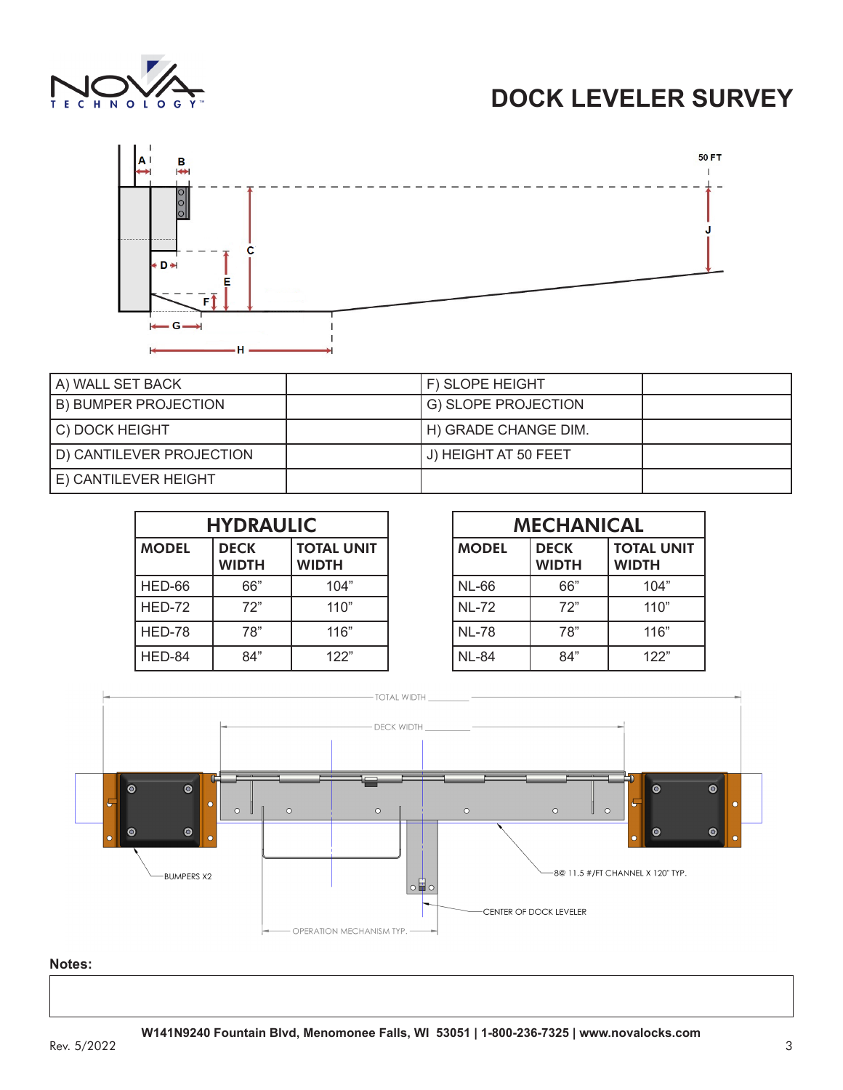



| A) WALL SET BACK         | F) SLOPE HEIGHT      |  |
|--------------------------|----------------------|--|
| B) BUMPER PROJECTION     | G) SLOPE PROJECTION  |  |
| C) DOCK HEIGHT           | H) GRADE CHANGE DIM. |  |
| D) CANTILEVER PROJECTION | J) HEIGHT AT 50 FEET |  |
| E) CANTILEVER HEIGHT     |                      |  |

| <b>HYDRAULIC</b> |                             |                                   |  |
|------------------|-----------------------------|-----------------------------------|--|
| <b>MODEL</b>     | <b>DECK</b><br><b>WIDTH</b> | <b>TOTAL UNIT</b><br><b>WIDTH</b> |  |
| HED-66           | 66"                         | 104"                              |  |
| HED-72           | 72"                         | 110"                              |  |
| HED-78           | 78"                         | 116"                              |  |
| HED-84           | 84"                         | 122"                              |  |

| <b>MECHANICAL</b> |                             |                                   |  |
|-------------------|-----------------------------|-----------------------------------|--|
| <b>MODEL</b>      | <b>DECK</b><br><b>WIDTH</b> | <b>TOTAL UNIT</b><br><b>WIDTH</b> |  |
| <b>NL-66</b>      | 66"                         | 104"                              |  |
| <b>NL-72</b>      | 72"                         | 110"                              |  |
| <b>NL-78</b>      | 78"                         | 116"                              |  |
| <b>NL-84</b>      | 84"                         | 122"                              |  |



### **Notes:**